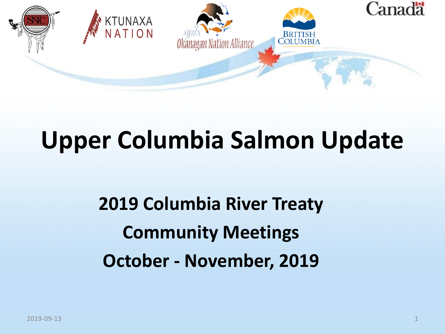

### **Upper Columbia Salmon Update**

**2019 Columbia River Treaty Community Meetings October - November, 2019**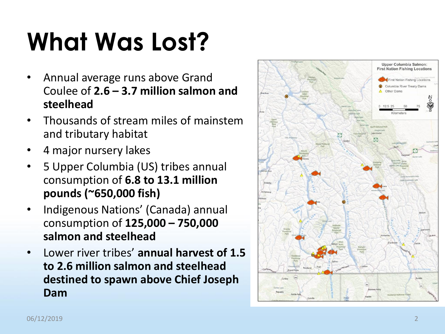# **What Was Lost?**

- Annual average runs above Grand Coulee of **2.6 – 3.7 million salmon and steelhead**
- Thousands of stream miles of mainstem and tributary habitat
- 4 major nursery lakes
- 5 Upper Columbia (US) tribes annual consumption of **6.8 to 13.1 million pounds (~650,000 fish)**
- Indigenous Nations' (Canada) annual consumption of **125,000 – 750,000 salmon and steelhead**
- Lower river tribes' **annual harvest of 1.5 to 2.6 million salmon and steelhead destined to spawn above Chief Joseph Dam**

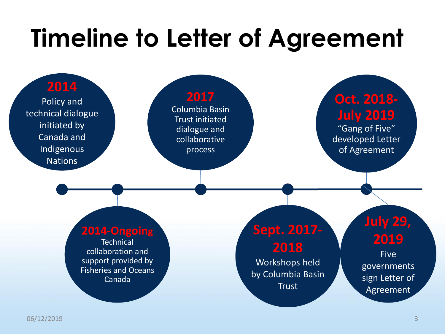## **Timeline to Letter of Agreement**

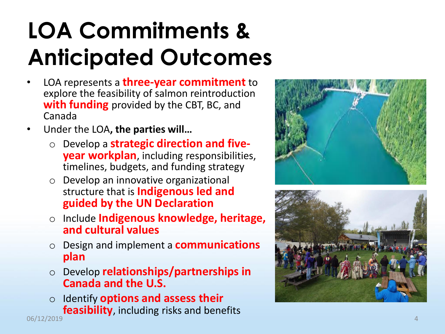#### **LOA Commitments & Anticipated Outcomes**

- LOA represents a **three-year commitment** to explore the feasibility of salmon reintroduction **with funding** provided by the CBT, BC, and Canada
- Under the LOA**, the parties will…**
	- o Develop a **strategic direction and five year workplan**, including responsibilities, timelines, budgets, and funding strategy
	- o Develop an innovative organizational structure that is **Indigenous led and guided by the UN Declaration**
	- o Include **Indigenous knowledge, heritage, and cultural values**
	- o Design and implement a **communications plan**
	- o Develop **relationships/partnerships in Canada and the U.S.**
	- o Identify **options and assess their feasibility**, including risks and benefits